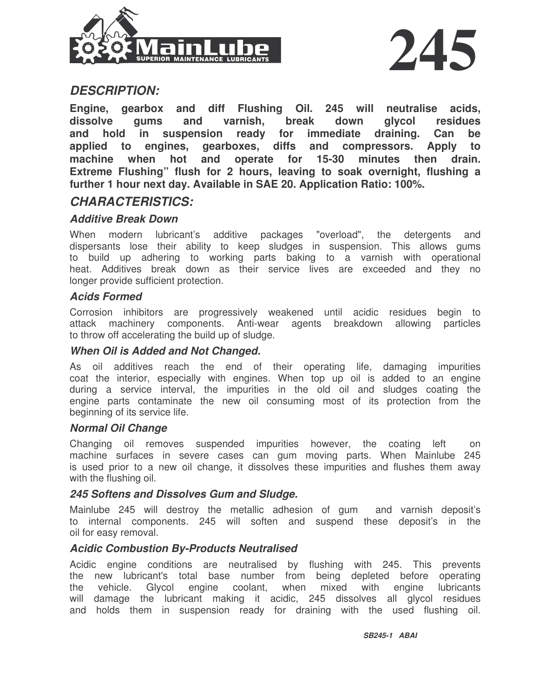



## *DESCRIPTION:*

**Engine, gearbox and diff Flushing Oil. 245 will neutralise acids, dissolve gums and varnish, break down glycol residues and hold in suspension ready for immediate draining. Can be applied to engines, gearboxes, diffs and compressors. Apply to machine when hot and operate for 15-30 minutes then drain. Extreme Flushing" flush for 2 hours, leaving to soak overnight, flushing a further 1 hour next day. Available in SAE 20. Application Ratio: 100%.**

### *CHARACTERISTICS:*

#### *Additive Break Down*

When modern lubricant's additive packages "overload", the detergents and dispersants lose their ability to keep sludges in suspension. This allows gums to build up adhering to working parts baking to a varnish with operational heat. Additives break down as their service lives are exceeded and they no longer provide sufficient protection.

#### *Acids Formed*

Corrosion inhibitors are progressively weakened until acidic residues begin to attack machinery components. Anti-wear agents breakdown allowing particles to throw off accelerating the build up of sludge.

#### *When Oil is Added and Not Changed.*

As oil additives reach the end of their operating life, damaging impurities coat the interior, especially with engines. When top up oil is added to an engine during a service interval, the impurities in the old oil and sludges coating the engine parts contaminate the new oil consuming most of its protection from the beginning of its service life.

#### *Normal Oil Change*

Changing oil removes suspended impurities however, the coating left on machine surfaces in severe cases can gum moving parts. When Mainlube 245 is used prior to a new oil change, it dissolves these impurities and flushes them away with the flushing oil.

#### *245 Softens and Dissolves Gum and Sludge.*

Mainlube 245 will destroy the metallic adhesion of gum and varnish deposit's to internal components. 245 will soften and suspend these deposit's in the oil for easy removal.

#### *Acidic Combustion By-Products Neutralised*

Acidic engine conditions are neutralised by flushing with 245. This prevents the new lubricant's total base number from being depleted before operating the vehicle. Glycol engine coolant, when mixed with engine lubricants will damage the lubricant making it acidic, 245 dissolves all glycol residues and holds them in suspension ready for draining with the used flushing oil.